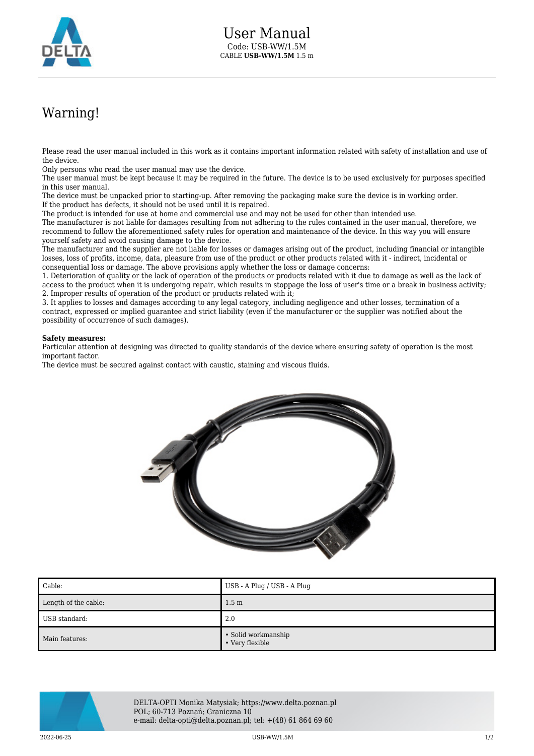

## Warning!

Please read the user manual included in this work as it contains important information related with safety of installation and use of the device.

Only persons who read the user manual may use the device.

The user manual must be kept because it may be required in the future. The device is to be used exclusively for purposes specified in this user manual.

The device must be unpacked prior to starting-up. After removing the packaging make sure the device is in working order. If the product has defects, it should not be used until it is repaired.

The product is intended for use at home and commercial use and may not be used for other than intended use.

The manufacturer is not liable for damages resulting from not adhering to the rules contained in the user manual, therefore, we recommend to follow the aforementioned safety rules for operation and maintenance of the device. In this way you will ensure yourself safety and avoid causing damage to the device.

The manufacturer and the supplier are not liable for losses or damages arising out of the product, including financial or intangible losses, loss of profits, income, data, pleasure from use of the product or other products related with it - indirect, incidental or consequential loss or damage. The above provisions apply whether the loss or damage concerns:

1. Deterioration of quality or the lack of operation of the products or products related with it due to damage as well as the lack of access to the product when it is undergoing repair, which results in stoppage the loss of user's time or a break in business activity; 2. Improper results of operation of the product or products related with it;

3. It applies to losses and damages according to any legal category, including negligence and other losses, termination of a contract, expressed or implied guarantee and strict liability (even if the manufacturer or the supplier was notified about the possibility of occurrence of such damages).

## **Safety measures:**

Particular attention at designing was directed to quality standards of the device where ensuring safety of operation is the most important factor.

The device must be secured against contact with caustic, staining and viscous fluids.



| Cable:               | USB - A Plug / USB - A Plug            |
|----------------------|----------------------------------------|
| Length of the cable: | 1.5 <sub>m</sub>                       |
| USB standard:        | 2.0                                    |
| Main features:       | • Solid workmanship<br>• Very flexible |



DELTA-OPTI Monika Matysiak; https://www.delta.poznan.pl POL; 60-713 Poznań; Graniczna 10 e-mail: delta-opti@delta.poznan.pl; tel: +(48) 61 864 69 60